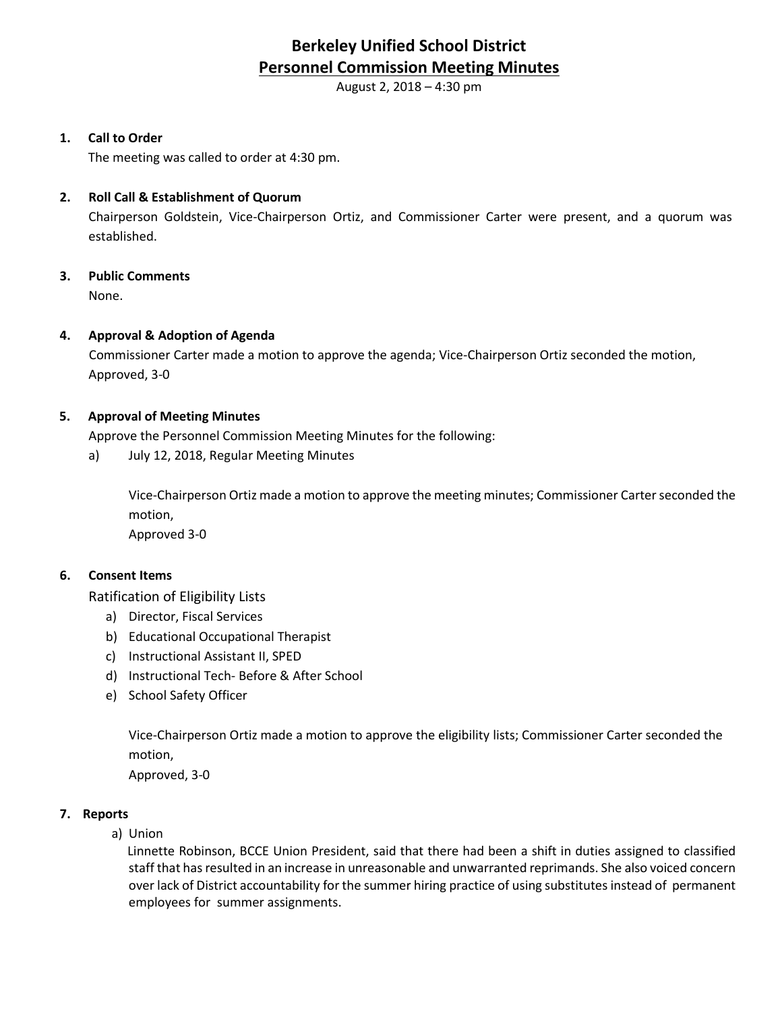# **Berkeley Unified School District Personnel Commission Meeting Minutes**

August 2, 2018 – 4:30 pm

## **1. Call to Order**

The meeting was called to order at 4:30 pm.

#### **2. Roll Call & Establishment of Quorum**

Chairperson Goldstein, Vice-Chairperson Ortiz, and Commissioner Carter were present, and a quorum was established.

## **3. Public Comments**

None.

## **4. Approval & Adoption of Agenda**

Commissioner Carter made a motion to approve the agenda; Vice-Chairperson Ortiz seconded the motion, Approved, 3-0

## **5. Approval of Meeting Minutes**

Approve the Personnel Commission Meeting Minutes for the following:

a) July 12, 2018, Regular Meeting Minutes

Vice-Chairperson Ortiz made a motion to approve the meeting minutes; Commissioner Carter seconded the motion,

Approved 3-0

#### **6. Consent Items**

Ratification of Eligibility Lists

- a) Director, Fiscal Services
- b) Educational Occupational Therapist
- c) Instructional Assistant II, SPED
- d) Instructional Tech- Before & After School
- e) School Safety Officer

Vice-Chairperson Ortiz made a motion to approve the eligibility lists; Commissioner Carter seconded the motion,

Approved, 3-0

#### **7. Reports**

a) Union

Linnette Robinson, BCCE Union President, said that there had been a shift in duties assigned to classified staff that has resulted in an increase in unreasonable and unwarranted reprimands. She also voiced concern over lack of District accountability for the summer hiring practice of using substitutes instead of permanent employees for summer assignments.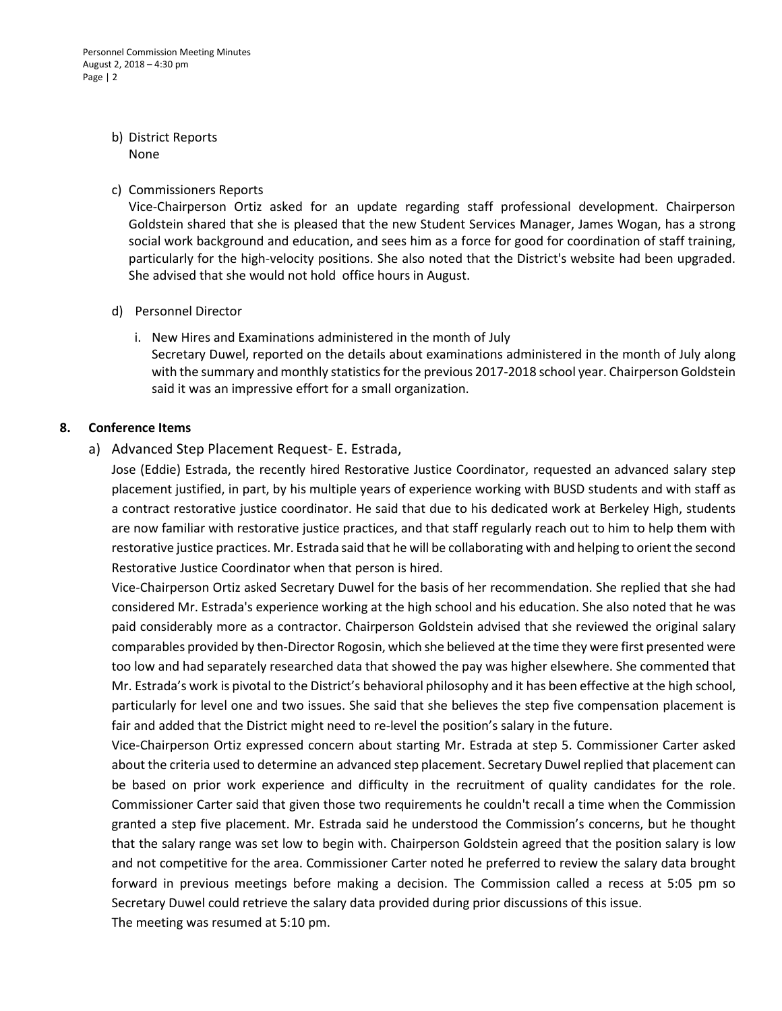#### b) District Reports None

#### c) Commissioners Reports

Vice-Chairperson Ortiz asked for an update regarding staff professional development. Chairperson Goldstein shared that she is pleased that the new Student Services Manager, James Wogan, has a strong social work background and education, and sees him as a force for good for coordination of staff training, particularly for the high-velocity positions. She also noted that the District's website had been upgraded. She advised that she would not hold office hours in August.

#### d) Personnel Director

i. New Hires and Examinations administered in the month of July Secretary Duwel, reported on the details about examinations administered in the month of July along with the summary and monthly statistics for the previous 2017-2018 school year. Chairperson Goldstein said it was an impressive effort for a small organization.

#### **8. Conference Items**

## a) Advanced Step Placement Request- E. Estrada,

Jose (Eddie) Estrada, the recently hired Restorative Justice Coordinator, requested an advanced salary step placement justified, in part, by his multiple years of experience working with BUSD students and with staff as a contract restorative justice coordinator. He said that due to his dedicated work at Berkeley High, students are now familiar with restorative justice practices, and that staff regularly reach out to him to help them with restorative justice practices. Mr. Estrada said that he will be collaborating with and helping to orient the second Restorative Justice Coordinator when that person is hired.

Vice-Chairperson Ortiz asked Secretary Duwel for the basis of her recommendation. She replied that she had considered Mr. Estrada's experience working at the high school and his education. She also noted that he was paid considerably more as a contractor. Chairperson Goldstein advised that she reviewed the original salary comparables provided by then-Director Rogosin, which she believed at the time they were first presented were too low and had separately researched data that showed the pay was higher elsewhere. She commented that Mr. Estrada's work is pivotal to the District's behavioral philosophy and it has been effective at the high school, particularly for level one and two issues. She said that she believes the step five compensation placement is fair and added that the District might need to re-level the position's salary in the future.

Vice-Chairperson Ortiz expressed concern about starting Mr. Estrada at step 5. Commissioner Carter asked about the criteria used to determine an advanced step placement. Secretary Duwel replied that placement can be based on prior work experience and difficulty in the recruitment of quality candidates for the role. Commissioner Carter said that given those two requirements he couldn't recall a time when the Commission granted a step five placement. Mr. Estrada said he understood the Commission's concerns, but he thought that the salary range was set low to begin with. Chairperson Goldstein agreed that the position salary is low and not competitive for the area. Commissioner Carter noted he preferred to review the salary data brought forward in previous meetings before making a decision. The Commission called a recess at 5:05 pm so Secretary Duwel could retrieve the salary data provided during prior discussions of this issue. The meeting was resumed at 5:10 pm.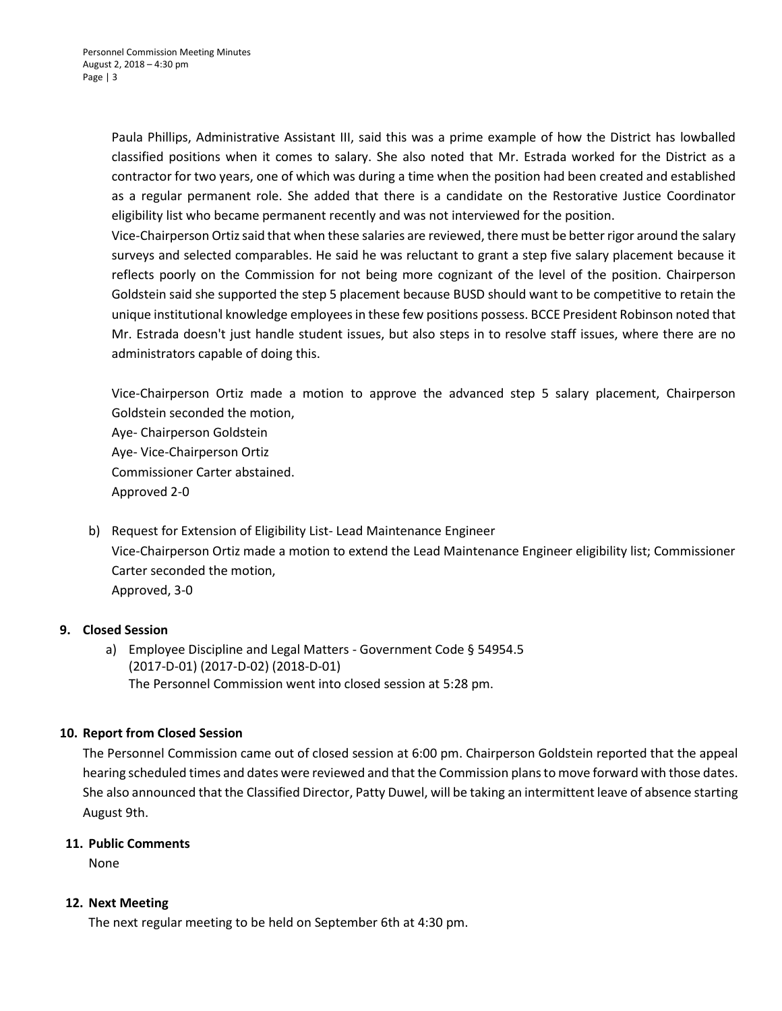Paula Phillips, Administrative Assistant III, said this was a prime example of how the District has lowballed classified positions when it comes to salary. She also noted that Mr. Estrada worked for the District as a contractor for two years, one of which was during a time when the position had been created and established as a regular permanent role. She added that there is a candidate on the Restorative Justice Coordinator eligibility list who became permanent recently and was not interviewed for the position.

Vice-Chairperson Ortiz said that when these salaries are reviewed, there must be better rigor around the salary surveys and selected comparables. He said he was reluctant to grant a step five salary placement because it reflects poorly on the Commission for not being more cognizant of the level of the position. Chairperson Goldstein said she supported the step 5 placement because BUSD should want to be competitive to retain the unique institutional knowledge employees in these few positions possess. BCCE President Robinson noted that Mr. Estrada doesn't just handle student issues, but also steps in to resolve staff issues, where there are no administrators capable of doing this.

Vice-Chairperson Ortiz made a motion to approve the advanced step 5 salary placement, Chairperson Goldstein seconded the motion, Aye- Chairperson Goldstein Aye- Vice-Chairperson Ortiz Commissioner Carter abstained. Approved 2-0

b) Request for Extension of Eligibility List- Lead Maintenance Engineer Vice-Chairperson Ortiz made a motion to extend the Lead Maintenance Engineer eligibility list; Commissioner Carter seconded the motion, Approved, 3-0

## **9. Closed Session**

a) Employee Discipline and Legal Matters - Government Code § 54954.5 (2017-D-01) (2017-D-02) (2018-D-01) The Personnel Commission went into closed session at 5:28 pm.

## **10. Report from Closed Session**

The Personnel Commission came out of closed session at 6:00 pm. Chairperson Goldstein reported that the appeal hearing scheduled times and dates were reviewed and that the Commission plansto move forward with those dates. She also announced that the Classified Director, Patty Duwel, will be taking an intermittent leave of absence starting August 9th.

#### **11. Public Comments**

None

#### **12. Next Meeting**

The next regular meeting to be held on September 6th at 4:30 pm.